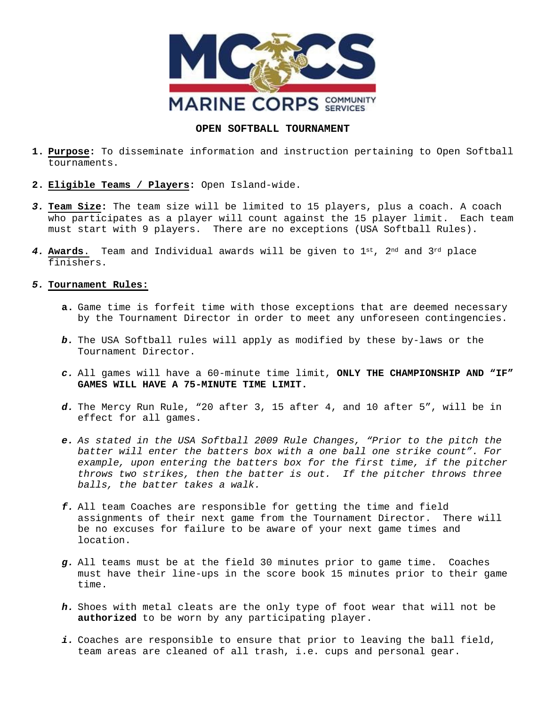

## **OPEN SOFTBALL TOURNAMENT**

- **1. Purpose:** To disseminate information and instruction pertaining to Open Softball tournaments.
- **2. Eligible Teams / Players:** Open Island-wide.
- *3.* **Team Size:** The team size will be limited to 15 players, plus a coach. A coach who participates as a player will count against the 15 player limit. Each team must start with 9 players. There are no exceptions (USA Softball Rules).
- *4.* **Awards**. Team and Individual awards will be given to 1st, 2nd and 3rd place finishers.

## *5.* **Tournament Rules:**

- **a.** Game time is forfeit time with those exceptions that are deemed necessary by the Tournament Director in order to meet any unforeseen contingencies.
- *b.* The USA Softball rules will apply as modified by these by-laws or the Tournament Director.
- *c.* All games will have a 60-minute time limit, **ONLY THE CHAMPIONSHIP AND "IF" GAMES WILL HAVE A 75-MINUTE TIME LIMIT.**
- *d.* The Mercy Run Rule, "20 after 3, 15 after 4, and 10 after 5", will be in effect for all games.
- *e. As stated in the USA Softball 2009 Rule Changes, "Prior to the pitch the batter will enter the batters box with a one ball one strike count". For example, upon entering the batters box for the first time, if the pitcher throws two strikes, then the batter is out. If the pitcher throws three balls, the batter takes a walk.*
- *f.* All team Coaches are responsible for getting the time and field assignments of their next game from the Tournament Director. There will be no excuses for failure to be aware of your next game times and location.
- *g.* All teams must be at the field 30 minutes prior to game time. Coaches must have their line-ups in the score book 15 minutes prior to their game time.
- *h.* Shoes with metal cleats are the only type of foot wear that will not be **authorized** to be worn by any participating player.
- *i.* Coaches are responsible to ensure that prior to leaving the ball field, team areas are cleaned of all trash, i.e. cups and personal gear.